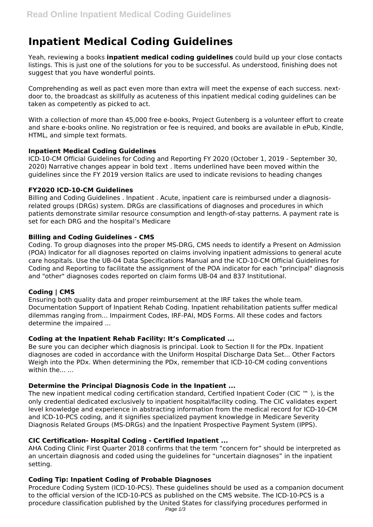# **Inpatient Medical Coding Guidelines**

Yeah, reviewing a books **inpatient medical coding guidelines** could build up your close contacts listings. This is just one of the solutions for you to be successful. As understood, finishing does not suggest that you have wonderful points.

Comprehending as well as pact even more than extra will meet the expense of each success. nextdoor to, the broadcast as skillfully as acuteness of this inpatient medical coding guidelines can be taken as competently as picked to act.

With a collection of more than 45,000 free e-books, Project Gutenberg is a volunteer effort to create and share e-books online. No registration or fee is required, and books are available in ePub, Kindle, HTML, and simple text formats.

# **Inpatient Medical Coding Guidelines**

ICD-10-CM Official Guidelines for Coding and Reporting FY 2020 (October 1, 2019 - September 30, 2020) Narrative changes appear in bold text . Items underlined have been moved within the guidelines since the FY 2019 version Italics are used to indicate revisions to heading changes

## **FY2020 ICD-10-CM Guidelines**

Billing and Coding Guidelines . Inpatient . Acute, inpatient care is reimbursed under a diagnosisrelated groups (DRGs) system. DRGs are classifications of diagnoses and procedures in which patients demonstrate similar resource consumption and length-of-stay patterns. A payment rate is set for each DRG and the hospital's Medicare

## **Billing and Coding Guidelines - CMS**

Coding. To group diagnoses into the proper MS-DRG, CMS needs to identify a Present on Admission (POA) Indicator for all diagnoses reported on claims involving inpatient admissions to general acute care hospitals. Use the UB-04 Data Specifications Manual and the ICD-10-CM Official Guidelines for Coding and Reporting to facilitate the assignment of the POA indicator for each "principal" diagnosis and "other" diagnoses codes reported on claim forms UB-04 and 837 Institutional.

# **Coding | CMS**

Ensuring both quality data and proper reimbursement at the IRF takes the whole team. Documentation Support of Inpatient Rehab Coding. Inpatient rehabilitation patients suffer medical dilemmas ranging from... Impairment Codes, IRF-PAI, MDS Forms. All these codes and factors determine the impaired ...

#### **Coding at the Inpatient Rehab Facility: It's Complicated ...**

Be sure you can decipher which diagnosis is principal. Look to Section II for the PDx. Inpatient diagnoses are coded in accordance with the Uniform Hospital Discharge Data Set... Other Factors Weigh into the PDx. When determining the PDx, remember that ICD-10-CM coding conventions within the... ...

# **Determine the Principal Diagnosis Code in the Inpatient ...**

The new inpatient medical coding certification standard, Certified Inpatient Coder (CIC ™ ), is the only credential dedicated exclusively to inpatient hospital/facility coding. The CIC validates expert level knowledge and experience in abstracting information from the medical record for ICD-10-CM and ICD-10-PCS coding, and it signifies specialized payment knowledge in Medicare Severity Diagnosis Related Groups (MS-DRGs) and the Inpatient Prospective Payment System (IPPS).

#### **CIC Certification- Hospital Coding - Certified Inpatient ...**

AHA Coding Clinic First Quarter 2018 confirms that the term "concern for" should be interpreted as an uncertain diagnosis and coded using the guidelines for "uncertain diagnoses" in the inpatient setting.

# **Coding Tip: Inpatient Coding of Probable Diagnoses**

Procedure Coding System (ICD-10-PCS). These guidelines should be used as a companion document to the official version of the ICD-10-PCS as published on the CMS website. The ICD-10-PCS is a procedure classification published by the United States for classifying procedures performed in Page 1/3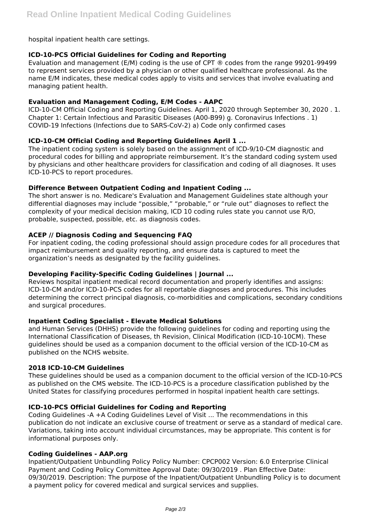hospital inpatient health care settings.

## **ICD-10-PCS Official Guidelines for Coding and Reporting**

Evaluation and management (E/M) coding is the use of CPT ® codes from the range 99201-99499 to represent services provided by a physician or other qualified healthcare professional. As the name E/M indicates, these medical codes apply to visits and services that involve evaluating and managing patient health.

## **Evaluation and Management Coding, E/M Codes - AAPC**

ICD-10-CM Official Coding and Reporting Guidelines. April 1, 2020 through September 30, 2020 . 1. Chapter 1: Certain Infectious and Parasitic Diseases (A00-B99) g. Coronavirus Infections . 1) COVID-19 Infections (Infections due to SARS-CoV-2) a) Code only confirmed cases

# **ICD-10-CM Official Coding and Reporting Guidelines April 1 ...**

The inpatient coding system is solely based on the assignment of ICD-9/10-CM diagnostic and procedural codes for billing and appropriate reimbursement. It's the standard coding system used by physicians and other healthcare providers for classification and coding of all diagnoses. It uses ICD-10-PCS to report procedures.

## **Difference Between Outpatient Coding and Inpatient Coding ...**

The short answer is no. Medicare's Evaluation and Management Guidelines state although your differential diagnoses may include "possible," "probable," or "rule out" diagnoses to reflect the complexity of your medical decision making, ICD 10 coding rules state you cannot use R/O, probable, suspected, possible, etc. as diagnosis codes.

## **ACEP // Diagnosis Coding and Sequencing FAQ**

For inpatient coding, the coding professional should assign procedure codes for all procedures that impact reimbursement and quality reporting, and ensure data is captured to meet the organization's needs as designated by the facility guidelines.

#### **Developing Facility-Specific Coding Guidelines | Journal ...**

Reviews hospital inpatient medical record documentation and properly identifies and assigns: ICD-10-CM and/or ICD-10-PCS codes for all reportable diagnoses and procedures. This includes determining the correct principal diagnosis, co-morbidities and complications, secondary conditions and surgical procedures.

#### **Inpatient Coding Specialist - Elevate Medical Solutions**

and Human Services (DHHS) provide the following guidelines for coding and reporting using the International Classification of Diseases, th Revision, Clinical Modification (ICD-10-10CM). These guidelines should be used as a companion document to the official version of the ICD-10-CM as published on the NCHS website.

#### **2018 ICD-10-CM Guidelines**

These guidelines should be used as a companion document to the official version of the ICD-10-PCS as published on the CMS website. The ICD-10-PCS is a procedure classification published by the United States for classifying procedures performed in hospital inpatient health care settings.

# **ICD-10-PCS Official Guidelines for Coding and Reporting**

Coding Guidelines -A +A Coding Guidelines Level of Visit ... The recommendations in this publication do not indicate an exclusive course of treatment or serve as a standard of medical care. Variations, taking into account individual circumstances, may be appropriate. This content is for informational purposes only.

#### **Coding Guidelines - AAP.org**

Inpatient/Outpatient Unbundling Policy Policy Number: CPCP002 Version: 6.0 Enterprise Clinical Payment and Coding Policy Committee Approval Date: 09/30/2019 . Plan Effective Date: 09/30/2019. Description: The purpose of the Inpatient/Outpatient Unbundling Policy is to document a payment policy for covered medical and surgical services and supplies.